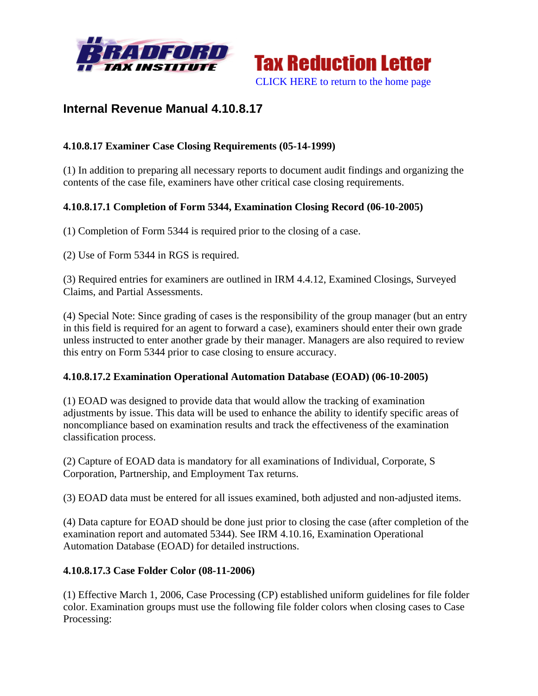



# **Internal Revenue Manual 4.10.8.17**

## **4.10.8.17 Examiner Case Closing Requirements (05-14-1999)**

(1) In addition to preparing all necessary reports to document audit findings and organizing the contents of the case file, examiners have other critical case closing requirements.

### **4.10.8.17.1 Completion of Form 5344, Examination Closing Record (06-10-2005)**

(1) Completion of Form 5344 is required prior to the closing of a case.

(2) Use of Form 5344 in RGS is required.

(3) Required entries for examiners are outlined in IRM 4.4.12, Examined Closings, Surveyed Claims, and Partial Assessments.

(4) Special Note: Since grading of cases is the responsibility of the group manager (but an entry in this field is required for an agent to forward a case), examiners should enter their own grade unless instructed to enter another grade by their manager. Managers are also required to review this entry on Form 5344 prior to case closing to ensure accuracy.

### **4.10.8.17.2 Examination Operational Automation Database (EOAD) (06-10-2005)**

(1) EOAD was designed to provide data that would allow the tracking of examination adjustments by issue. This data will be used to enhance the ability to identify specific areas of noncompliance based on examination results and track the effectiveness of the examination classification process.

(2) Capture of EOAD data is mandatory for all examinations of Individual, Corporate, S Corporation, Partnership, and Employment Tax returns.

(3) EOAD data must be entered for all issues examined, both adjusted and non-adjusted items.

(4) Data capture for EOAD should be done just prior to closing the case (after completion of the examination report and automated 5344). See IRM 4.10.16, Examination Operational Automation Database (EOAD) for detailed instructions.

### **4.10.8.17.3 Case Folder Color (08-11-2006)**

(1) Effective March 1, 2006, Case Processing (CP) established uniform guidelines for file folder color. Examination groups must use the following file folder colors when closing cases to Case Processing: